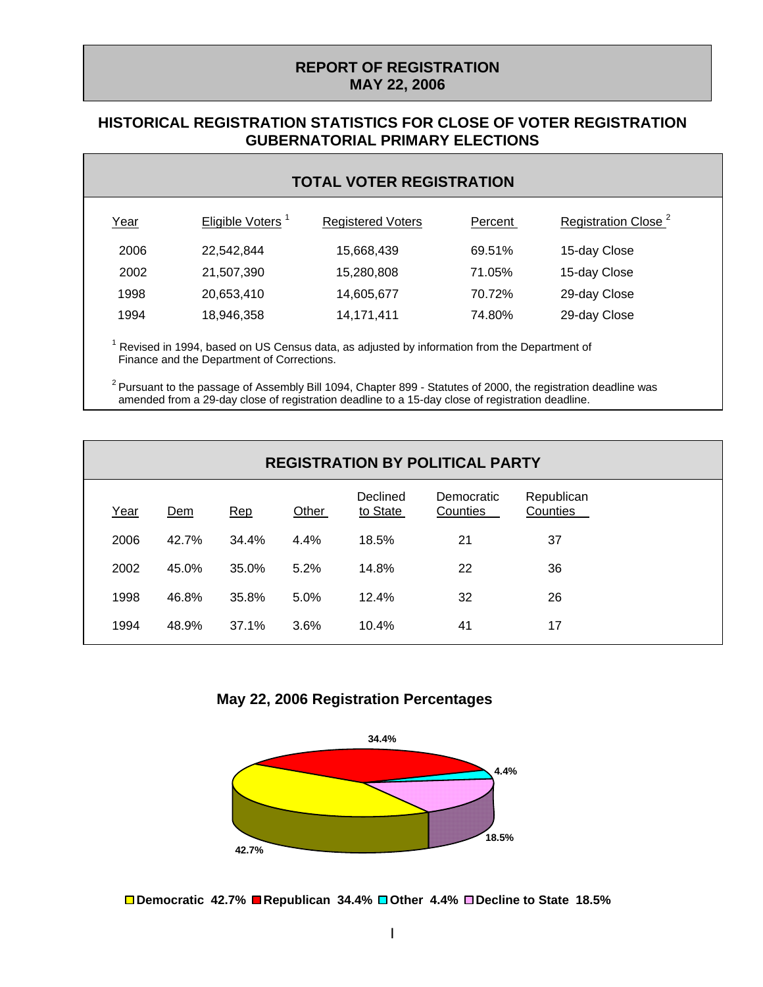### **REPORT OF REGISTRATION MAY 22, 2006**

#### **HISTORICAL REGISTRATION STATISTICS FOR CLOSE OF VOTER REGISTRATION GUBERNATORIAL PRIMARY ELECTIONS**

| <b>TOTAL VOTER REGISTRATION</b> |  |
|---------------------------------|--|
|---------------------------------|--|

| Year | Eligible Voters <sup>1</sup> | <b>Registered Voters</b> | Percent | Registration Close <sup>2</sup> |
|------|------------------------------|--------------------------|---------|---------------------------------|
| 2006 | 22,542,844                   | 15,668,439               | 69.51%  | 15-day Close                    |
| 2002 | 21,507,390                   | 15,280,808               | 71.05%  | 15-day Close                    |
| 1998 | 20,653,410                   | 14,605,677               | 70.72%  | 29-day Close                    |
| 1994 | 18,946,358                   | 14, 171, 411             | 74.80%  | 29-day Close                    |
|      |                              |                          |         |                                 |

 $1$  Revised in 1994, based on US Census data, as adjusted by information from the Department of Finance and the Department of Corrections.

 $2$  Pursuant to the passage of Assembly Bill 1094, Chapter 899 - Statutes of 2000, the registration deadline was amended from a 29-day close of registration deadline to a 15-day close of registration deadline.

|      | <b>REGISTRATION BY POLITICAL PARTY</b> |       |       |                      |                        |                        |
|------|----------------------------------------|-------|-------|----------------------|------------------------|------------------------|
| Year | Dem                                    | Rep   | Other | Declined<br>to State | Democratic<br>Counties | Republican<br>Counties |
| 2006 | 42.7%                                  | 34.4% | 4.4%  | 18.5%                | 21                     | 37                     |
| 2002 | 45.0%                                  | 35.0% | 5.2%  | 14.8%                | 22                     | 36                     |
| 1998 | 46.8%                                  | 35.8% | 5.0%  | 12.4%                | 32                     | 26                     |
| 1994 | 48.9%                                  | 37.1% | 3.6%  | 10.4%                | 41                     | 17                     |

**May 22, 2006 Registration Percentages**



**Democratic 42.7% Republican 34.4% Other 4.4% Decline to State 18.5%**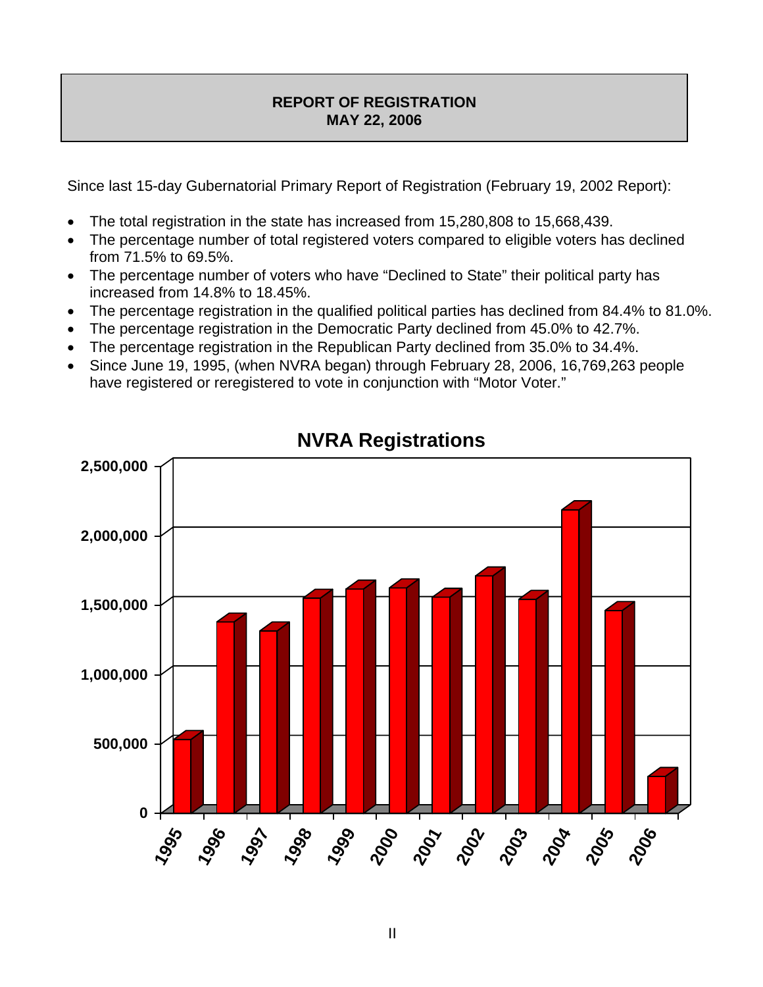## **REPORT OF REGISTRATION MAY 22, 2006**

Since last 15-day Gubernatorial Primary Report of Registration (February 19, 2002 Report):

- The total registration in the state has increased from 15,280,808 to 15,668,439.
- The percentage number of total registered voters compared to eligible voters has declined from 71.5% to 69.5%.
- The percentage number of voters who have "Declined to State" their political party has increased from 14.8% to 18.45%.
- The percentage registration in the qualified political parties has declined from 84.4% to 81.0%.
- The percentage registration in the Democratic Party declined from 45.0% to 42.7%.
- The percentage registration in the Republican Party declined from 35.0% to 34.4%.
- Since June 19, 1995, (when NVRA began) through February 28, 2006, 16,769,263 people have registered or reregistered to vote in conjunction with "Motor Voter."



# **NVRA Registrations**